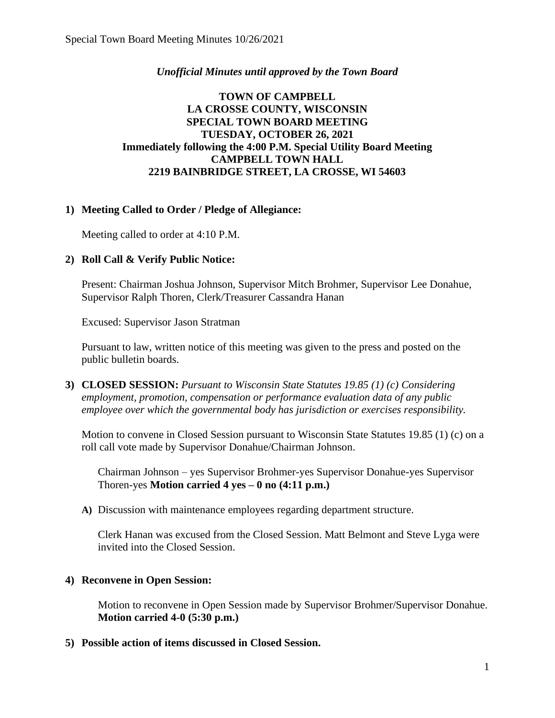## *Unofficial Minutes until approved by the Town Board*

## **TOWN OF CAMPBELL LA CROSSE COUNTY, WISCONSIN SPECIAL TOWN BOARD MEETING TUESDAY, OCTOBER 26, 2021 Immediately following the 4:00 P.M. Special Utility Board Meeting CAMPBELL TOWN HALL 2219 BAINBRIDGE STREET, LA CROSSE, WI 54603**

## **1) Meeting Called to Order / Pledge of Allegiance:**

Meeting called to order at 4:10 P.M.

#### **2) Roll Call & Verify Public Notice:**

Present: Chairman Joshua Johnson, Supervisor Mitch Brohmer, Supervisor Lee Donahue, Supervisor Ralph Thoren, Clerk/Treasurer Cassandra Hanan

Excused: Supervisor Jason Stratman

Pursuant to law, written notice of this meeting was given to the press and posted on the public bulletin boards.

**3) CLOSED SESSION:** *Pursuant to Wisconsin State Statutes 19.85 (1) (c) Considering employment, promotion, compensation or performance evaluation data of any public employee over which the governmental body has jurisdiction or exercises responsibility.* 

Motion to convene in Closed Session pursuant to Wisconsin State Statutes 19.85 (1) (c) on a roll call vote made by Supervisor Donahue/Chairman Johnson.

Chairman Johnson – yes Supervisor Brohmer-yes Supervisor Donahue-yes Supervisor Thoren-yes **Motion carried 4 yes – 0 no (4:11 p.m.)**

**A)** Discussion with maintenance employees regarding department structure.

Clerk Hanan was excused from the Closed Session. Matt Belmont and Steve Lyga were invited into the Closed Session.

#### **4) Reconvene in Open Session:**

Motion to reconvene in Open Session made by Supervisor Brohmer/Supervisor Donahue. **Motion carried 4-0 (5:30 p.m.)**

**5) Possible action of items discussed in Closed Session.**